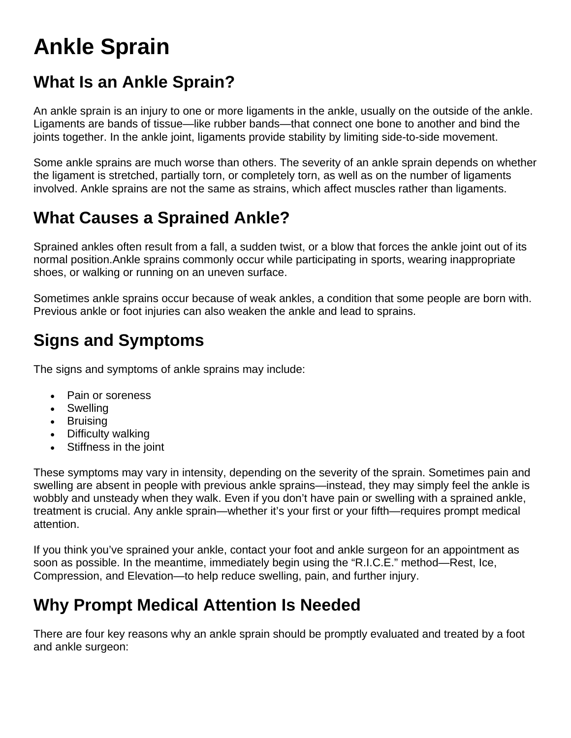# **Ankle Sprain**

### **What Is an Ankle Sprain?**

An ankle sprain is an injury to one or more ligaments in the ankle, usually on the outside of the ankle. Ligaments are bands of tissue—like rubber bands—that connect one bone to another and bind the joints together. In the ankle joint, ligaments provide stability by limiting side-to-side movement.

Some ankle sprains are much worse than others. The severity of an ankle sprain depends on whether the ligament is stretched, partially torn, or completely torn, as well as on the number of ligaments involved. Ankle sprains are not the same as strains, which affect muscles rather than ligaments.

# **What Causes a Sprained Ankle?**

Sprained ankles often result from a fall, a sudden twist, or a blow that forces the ankle joint out of its normal position.Ankle sprains commonly occur while participating in sports, wearing inappropriate shoes, or walking or running on an uneven surface.

Sometimes ankle sprains occur because of weak ankles, a condition that some people are born with. Previous ankle or foot injuries can also weaken the ankle and lead to sprains.

# **Signs and Symptoms**

The signs and symptoms of ankle sprains may include:

- Pain or soreness
- Swelling
- Bruising
- Difficulty walking
- Stiffness in the joint

These symptoms may vary in intensity, depending on the severity of the sprain. Sometimes pain and swelling are absent in people with previous ankle sprains—instead, they may simply feel the ankle is wobbly and unsteady when they walk. Even if you don't have pain or swelling with a sprained ankle, treatment is crucial. Any ankle sprain—whether it's your first or your fifth—requires prompt medical attention.

If you think you've sprained your ankle, contact your foot and ankle surgeon for an appointment as soon as possible. In the meantime, immediately begin using the "R.I.C.E." method—Rest, Ice, Compression, and Elevation—to help reduce swelling, pain, and further injury.

#### **Why Prompt Medical Attention Is Needed**

There are four key reasons why an ankle sprain should be promptly evaluated and treated by a foot and ankle surgeon: